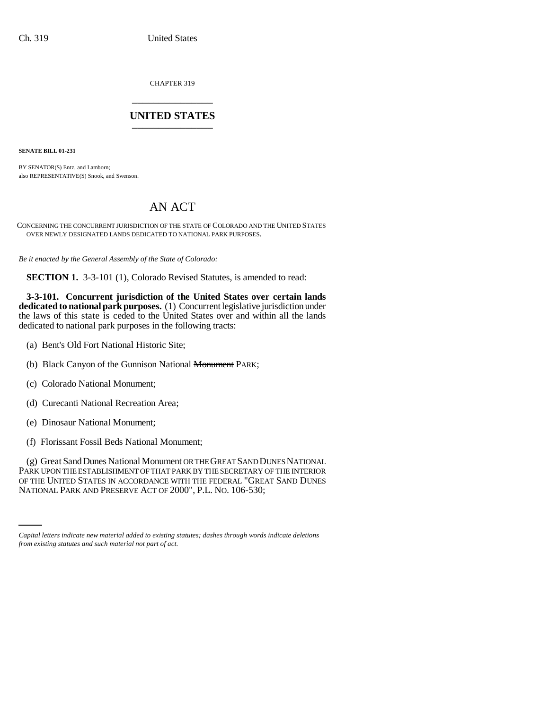CHAPTER 319 \_\_\_\_\_\_\_\_\_\_\_\_\_\_\_

## **UNITED STATES** \_\_\_\_\_\_\_\_\_\_\_\_\_\_\_

**SENATE BILL 01-231**

BY SENATOR(S) Entz, and Lamborn; also REPRESENTATIVE(S) Snook, and Swenson.

## AN ACT

CONCERNING THE CONCURRENT JURISDICTION OF THE STATE OF COLORADO AND THE UNITED STATES OVER NEWLY DESIGNATED LANDS DEDICATED TO NATIONAL PARK PURPOSES.

*Be it enacted by the General Assembly of the State of Colorado:*

**SECTION 1.** 3-3-101 (1), Colorado Revised Statutes, is amended to read:

**3-3-101. Concurrent jurisdiction of the United States over certain lands dedicated to national park purposes.** (1) Concurrent legislative jurisdiction under the laws of this state is ceded to the United States over and within all the lands dedicated to national park purposes in the following tracts:

- (a) Bent's Old Fort National Historic Site;
- (b) Black Canyon of the Gunnison National <del>Monument</del> PARK;
- (c) Colorado National Monument;
- (d) Curecanti National Recreation Area;
- (e) Dinosaur National Monument;
- (f) Florissant Fossil Beds National Monument;

OF THE UNITED STATES IN ACCORDANCE WITH THE FEDERAL "GREAT SAND DUNES (g) Great Sand Dunes National Monument OR THE GREAT SAND DUNES NATIONAL PARK UPON THE ESTABLISHMENT OF THAT PARK BY THE SECRETARY OF THE INTERIOR NATIONAL PARK AND PRESERVE ACT OF 2000", P.L. NO. 106-530;

*Capital letters indicate new material added to existing statutes; dashes through words indicate deletions from existing statutes and such material not part of act.*